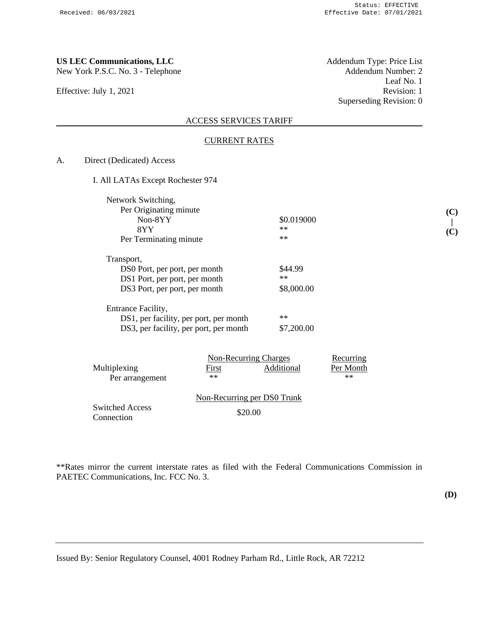Effective: July 1, 2021

**US LEC Communications, LLC**<br>
New York P.S.C. No. 3 - Telephone **Addendum Number**: 2 Leaf No. 1<br>Revision: 1 Superseding Revision: 0

## ACCESS SERVICES TARIFF

## CURRENT RATES

A. Direct (Dedicated) Access

|  | I. All LATAs Except Rochester 974 |  |
|--|-----------------------------------|--|
|--|-----------------------------------|--|

| Network Switching,                                                                                            |                               |
|---------------------------------------------------------------------------------------------------------------|-------------------------------|
| Per Originating minute                                                                                        |                               |
| Non-8YY                                                                                                       | \$0.019000                    |
| 8YY                                                                                                           | $**$                          |
| Per Terminating minute                                                                                        | $**$                          |
| Transport,<br>DS0 Port, per port, per month<br>DS1 Port, per port, per month<br>DS3 Port, per port, per month | \$44.99<br>$**$<br>\$8,000.00 |
| Entrance Facility,<br>DS1, per facility, per port, per month<br>DS3, per facility, per port, per month        | $**$<br>\$7,200.00            |

|                                      | Non-Recurring Charges |                             | Recurring |  |
|--------------------------------------|-----------------------|-----------------------------|-----------|--|
| Multiplexing                         | First                 | Additional                  | Per Month |  |
| Per arrangement                      | $**$                  |                             | $**$      |  |
|                                      |                       | Non-Recurring per DS0 Trunk |           |  |
| <b>Switched Access</b><br>Connection |                       | \$20.00                     |           |  |

\*\*Rates mirror the current interstate rates as filed with the Federal Communications Commission in PAETEC Communications, Inc. FCC No. 3.

**(C) | (C)**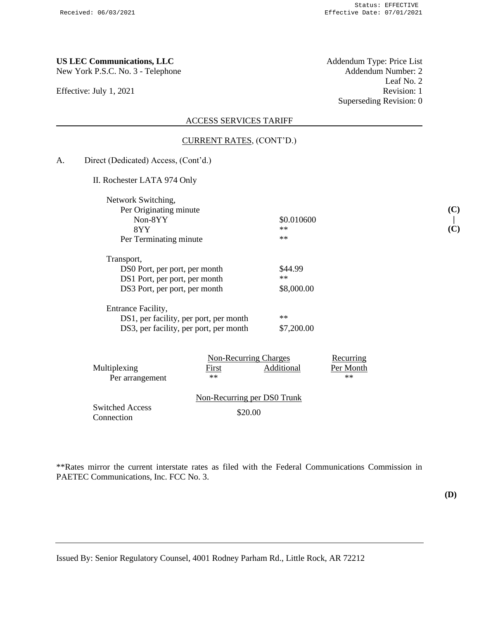Effective: July 1, 2021

**US LEC Communications, LLC**<br>
New York P.S.C. No. 3 - Telephone **Addendum Number: 2** Leaf No. 2<br>Revision: 1 Superseding Revision: 0

### ACCESS SERVICES TARIFF

- CURRENT RATES, (CONT'D.)
- A. Direct (Dedicated) Access, (Cont'd.)

II. Rochester LATA 974 Only

| Network Switching,<br>Per Originating minute                                                                  |                               |
|---------------------------------------------------------------------------------------------------------------|-------------------------------|
| Non-8YY                                                                                                       | \$0.010600                    |
| 8YY                                                                                                           | $**$                          |
| Per Terminating minute                                                                                        | $**$                          |
| Transport,<br>DS0 Port, per port, per month<br>DS1 Port, per port, per month<br>DS3 Port, per port, per month | \$44.99<br>$**$<br>\$8,000.00 |
| Entrance Facility,<br>DS1, per facility, per port, per month<br>DS3, per facility, per port, per month        | $**$<br>\$7,200,00            |

|                                      | Non-Recurring Charges |                             | Recurring |  |
|--------------------------------------|-----------------------|-----------------------------|-----------|--|
| Multiplexing                         | First                 | Additional                  | Per Month |  |
| Per arrangement                      | $**$                  |                             | $**$      |  |
|                                      |                       | Non-Recurring per DS0 Trunk |           |  |
| <b>Switched Access</b><br>Connection |                       | \$20.00                     |           |  |

\*\*Rates mirror the current interstate rates as filed with the Federal Communications Commission in PAETEC Communications, Inc. FCC No. 3.

**(C) | (C)**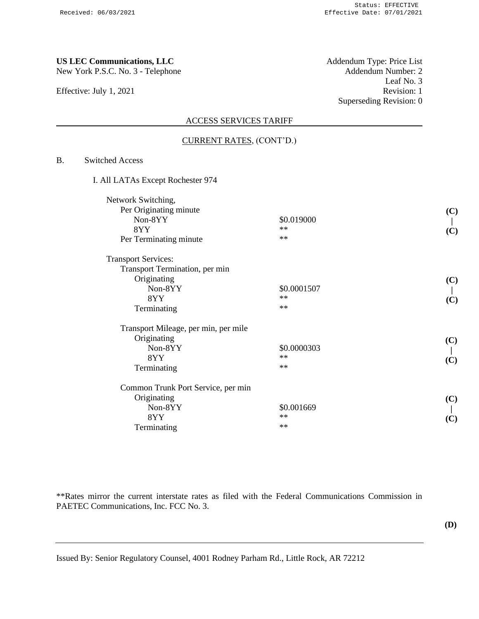Effective: July 1, 2021

**US LEC Communications, LLC**<br>
New York P.S.C. No. 3 - Telephone **Addendum Type: Price List**<br>
Addendum Number: 2 Leaf No. 3<br>Revision: 1 Superseding Revision: 0

## ACCESS SERVICES TARIFF

## CURRENT RATES, (CONT'D.)

# B. Switched Access

| I. All LATAs Except Rochester 974 |  |
|-----------------------------------|--|
|-----------------------------------|--|

| Network Switching,                   |             |     |
|--------------------------------------|-------------|-----|
| Per Originating minute               |             | (C) |
| Non-8YY                              | \$0.019000  |     |
| 8YY                                  | $**$        | (C) |
| Per Terminating minute               | $**$        |     |
| <b>Transport Services:</b>           |             |     |
| Transport Termination, per min       |             |     |
| Originating                          |             | (C) |
| Non-8YY                              | \$0.0001507 |     |
| 8YY                                  | $**$        | (C) |
| Terminating                          | $**$        |     |
| Transport Mileage, per min, per mile |             |     |
| Originating                          |             | (C) |
| $Non-8YY$                            | \$0.0000303 |     |
| 8YY                                  | $**$        | (C) |
| Terminating                          | $**$        |     |
| Common Trunk Port Service, per min   |             |     |
| Originating                          |             | (C) |
| Non-8YY                              | \$0.001669  |     |
| 8YY                                  | $**$        | (C) |
| Terminating                          | $**$        |     |

\*\*Rates mirror the current interstate rates as filed with the Federal Communications Commission in PAETEC Communications, Inc. FCC No. 3.

**(D)**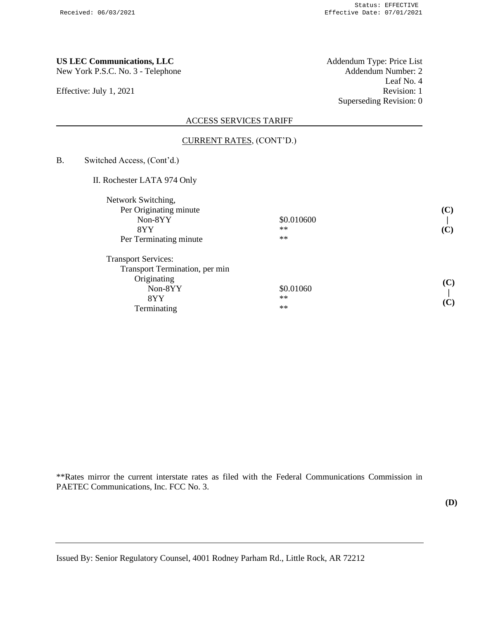Effective: July 1, 2021

**US LEC Communications, LLC**<br>
New York P.S.C. No. 3 - Telephone **Addendum Number: 2** Leaf No. 4<br>Revision: 1 Superseding Revision: 0

# ACCESS SERVICES TARIFF

### CURRENT RATES, (CONT'D.)

B. Switched Access, (Cont'd.)

II. Rochester LATA 974 Only

|            | (C) |
|------------|-----|
| \$0.010600 |     |
| $**$       | (C) |
| $**$       |     |
|            |     |
|            |     |
|            | (C) |
| \$0.01060  |     |
| $**$       | (C) |
| $**$       |     |
|            |     |

\*\*Rates mirror the current interstate rates as filed with the Federal Communications Commission in PAETEC Communications, Inc. FCC No. 3.

**(D)**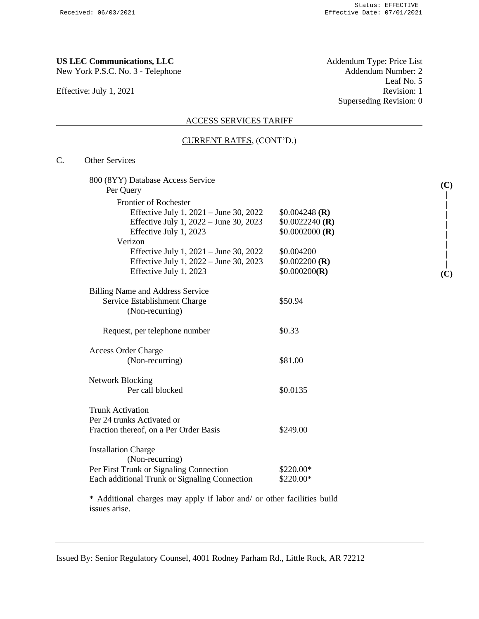Effective: July 1, 2021

**US LEC Communications, LLC**<br>
New York P.S.C. No. 3 - Telephone **Addendum Type: Price List**<br>
Addendum Number: 2 Leaf No. 5<br>Revision: 1 Superseding Revision: 0

## ACCESS SERVICES TARIFF

## CURRENT RATES, (CONT'D.)

# C. Other Services

| 800 (8YY) Database Access Service             |                  | (C) |
|-----------------------------------------------|------------------|-----|
| Per Query                                     |                  |     |
| <b>Frontier of Rochester</b>                  |                  |     |
| Effective July 1, $2021 -$ June 30, 2022      | $$0.004248$ (R)  |     |
| Effective July 1, 2022 – June 30, 2023        | $$0.0022240$ (R) |     |
| Effective July 1, 2023                        | $$0.0002000$ (R) |     |
| Verizon                                       |                  |     |
| Effective July 1, $2021 -$ June 30, 2022      | \$0.004200       |     |
| Effective July 1, 2022 – June 30, 2023        | $$0.002200$ (R)  |     |
| Effective July 1, 2023                        | \$0.000200(R)    | (C) |
| <b>Billing Name and Address Service</b>       |                  |     |
| Service Establishment Charge                  | \$50.94          |     |
| (Non-recurring)                               |                  |     |
| Request, per telephone number                 | \$0.33           |     |
| <b>Access Order Charge</b>                    |                  |     |
| (Non-recurring)                               | \$81.00          |     |
| <b>Network Blocking</b>                       |                  |     |
| Per call blocked                              | \$0.0135         |     |
| <b>Trunk Activation</b>                       |                  |     |
| Per 24 trunks Activated or                    |                  |     |
| Fraction thereof, on a Per Order Basis        | \$249.00         |     |
| <b>Installation Charge</b>                    |                  |     |
| (Non-recurring)                               |                  |     |
| Per First Trunk or Signaling Connection       | \$220.00*        |     |
| Each additional Trunk or Signaling Connection | \$220.00*        |     |

\* Additional charges may apply if labor and/ or other facilities build issues arise.